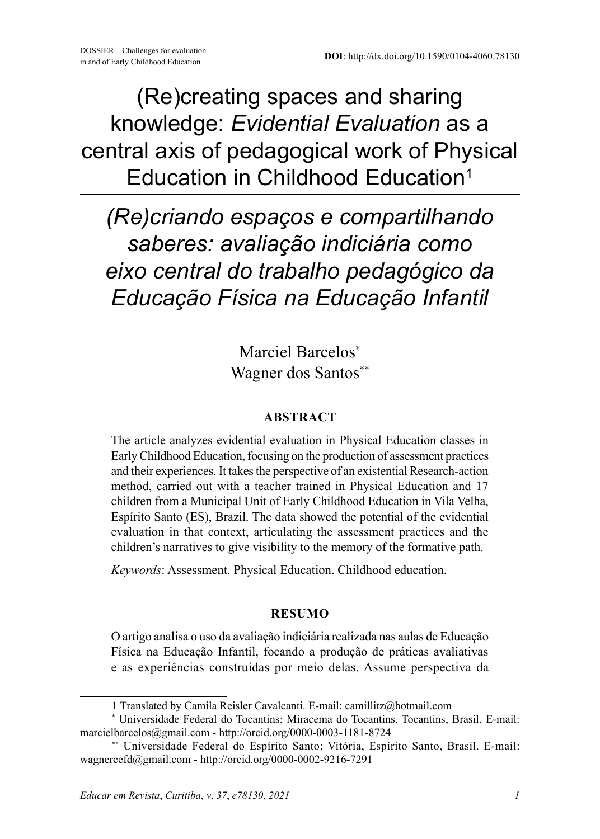(Re)creating spaces and sharing knowledge: *Evidential Evaluation* as a central axis of pedagogical work of Physical Education in Childhood Education<sup>1</sup>

*(Re)criando espaços e compartilhando saberes: avaliação indiciária como eixo central do trabalho pedagógico da Educação Física na Educação Infantil*

> Marciel Barcelos\* Wagner dos Santos\*\*

#### **ABSTRACT**

The article analyzes evidential evaluation in Physical Education classes in Early Childhood Education, focusing on the production of assessment practices and their experiences. It takes the perspective of an existential Research-action method, carried out with a teacher trained in Physical Education and 17 children from a Municipal Unit of Early Childhood Education in Vila Velha, Espírito Santo (ES), Brazil. The data showed the potential of the evidential evaluation in that context, articulating the assessment practices and the children's narratives to give visibility to the memory of the formative path.

*Keywords*: Assessment. Physical Education. Childhood education.

#### **RESUMO**

O artigo analisa o uso da avaliação indiciária realizada nas aulas de Educação Física na Educação Infantil, focando a produção de práticas avaliativas e as experiências construídas por meio delas. Assume perspectiva da

<sup>1</sup> Translated by Camila Reisler Cavalcanti. E-mail: camillitz@hotmail.com

<sup>\*</sup> Universidade Federal do Tocantins; Miracema do Tocantins, Tocantins, Brasil. E-mail: marcielbarcelos@gmail.com - http://orcid.org/0000-0003-1181-8724

<sup>\*\*</sup> Universidade Federal do Espírito Santo; Vitória, Espírito Santo, Brasil. E-mail: wagnercefd@gmail.com - http://orcid.org/0000-0002-9216-7291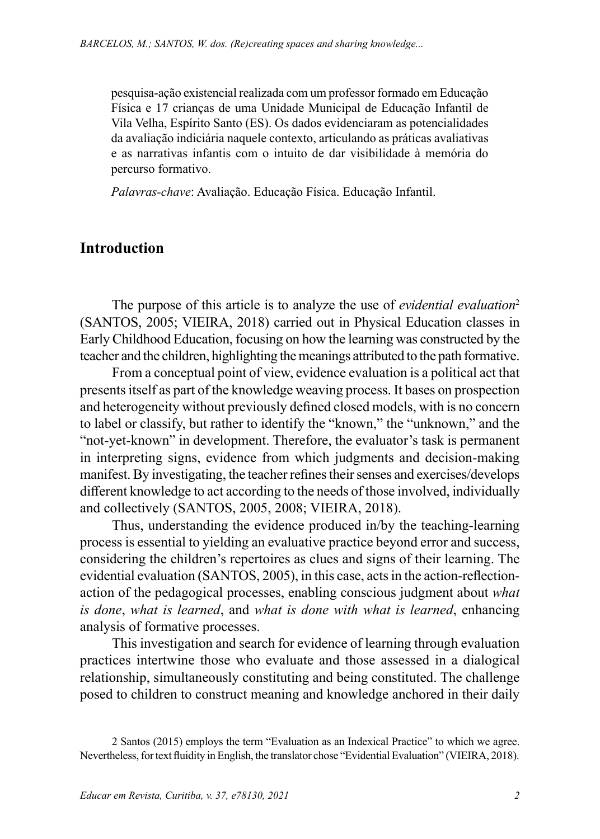pesquisa-ação existencial realizada com um professor formado em Educação Física e 17 crianças de uma Unidade Municipal de Educação Infantil de Vila Velha, Espírito Santo (ES). Os dados evidenciaram as potencialidades da avaliação indiciária naquele contexto, articulando as práticas avaliativas e as narrativas infantis com o intuito de dar visibilidade à memória do percurso formativo.

*Palavras-chave*: Avaliação. Educação Física. Educação Infantil.

### **Introduction**

The purpose of this article is to analyze the use of *evidential evaluation*<sup>2</sup> (SANTOS, 2005; VIEIRA, 2018) carried out in Physical Education classes in Early Childhood Education, focusing on how the learning was constructed by the teacher and the children, highlighting the meanings attributed to the path formative.

From a conceptual point of view, evidence evaluation is a political act that presents itself as part of the knowledge weaving process. It bases on prospection and heterogeneity without previously defined closed models, with is no concern to label or classify, but rather to identify the "known," the "unknown," and the "not-yet-known" in development. Therefore, the evaluator's task is permanent in interpreting signs, evidence from which judgments and decision-making manifest. By investigating, the teacher refines their senses and exercises/develops different knowledge to act according to the needs of those involved, individually and collectively (SANTOS, 2005, 2008; VIEIRA, 2018).

Thus, understanding the evidence produced in/by the teaching-learning process is essential to yielding an evaluative practice beyond error and success, considering the children's repertoires as clues and signs of their learning. The evidential evaluation (SANTOS, 2005), in this case, acts in the action-reflectionaction of the pedagogical processes, enabling conscious judgment about *what is done*, *what is learned*, and *what is done with what is learned*, enhancing analysis of formative processes.

This investigation and search for evidence of learning through evaluation practices intertwine those who evaluate and those assessed in a dialogical relationship, simultaneously constituting and being constituted. The challenge posed to children to construct meaning and knowledge anchored in their daily

<sup>2</sup> Santos (2015) employs the term "Evaluation as an Indexical Practice" to which we agree. Nevertheless, for text fluidity in English, the translator chose "Evidential Evaluation" (VIEIRA, 2018).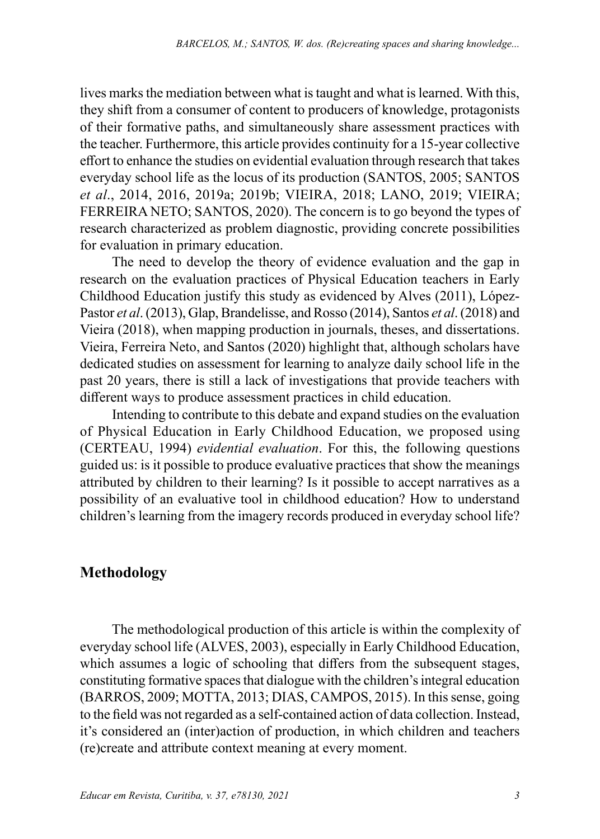lives marks the mediation between what is taught and what is learned. With this, they shift from a consumer of content to producers of knowledge, protagonists of their formative paths, and simultaneously share assessment practices with the teacher. Furthermore, this article provides continuity for a 15-year collective effort to enhance the studies on evidential evaluation through research that takes everyday school life as the locus of its production (SANTOS, 2005; SANTOS *et al*., 2014, 2016, 2019a; 2019b; VIEIRA, 2018; LANO, 2019; VIEIRA; FERREIRA NETO; SANTOS, 2020). The concern is to go beyond the types of research characterized as problem diagnostic, providing concrete possibilities for evaluation in primary education.

The need to develop the theory of evidence evaluation and the gap in research on the evaluation practices of Physical Education teachers in Early Childhood Education justify this study as evidenced by Alves (2011), López-Pastor *et al*. (2013), Glap, Brandelisse, and Rosso (2014), Santos *et al*. (2018) and Vieira (2018), when mapping production in journals, theses, and dissertations. Vieira, Ferreira Neto, and Santos (2020) highlight that, although scholars have dedicated studies on assessment for learning to analyze daily school life in the past 20 years, there is still a lack of investigations that provide teachers with different ways to produce assessment practices in child education.

Intending to contribute to this debate and expand studies on the evaluation of Physical Education in Early Childhood Education, we proposed using (CERTEAU, 1994) *evidential evaluation*. For this, the following questions guided us: is it possible to produce evaluative practices that show the meanings attributed by children to their learning? Is it possible to accept narratives as a possibility of an evaluative tool in childhood education? How to understand children's learning from the imagery records produced in everyday school life?

# **Methodology**

The methodological production of this article is within the complexity of everyday school life (ALVES, 2003), especially in Early Childhood Education, which assumes a logic of schooling that differs from the subsequent stages, constituting formative spaces that dialogue with the children's integral education (BARROS, 2009; MOTTA, 2013; DIAS, CAMPOS, 2015). In this sense, going to the field was not regarded as a self-contained action of data collection. Instead, it's considered an (inter)action of production, in which children and teachers (re)create and attribute context meaning at every moment.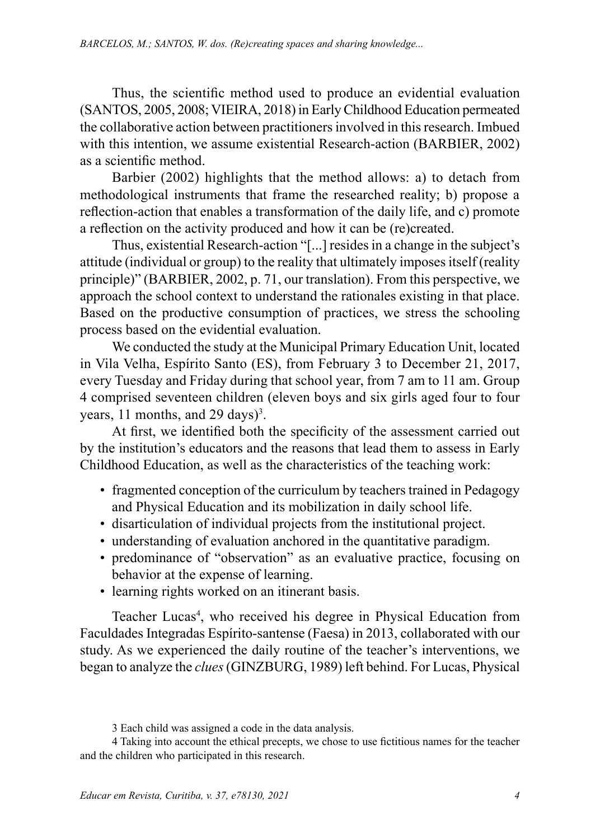Thus, the scientific method used to produce an evidential evaluation (SANTOS, 2005, 2008; VIEIRA, 2018) in Early Childhood Education permeated the collaborative action between practitioners involved in this research. Imbued with this intention, we assume existential Research-action (BARBIER, 2002) as a scientific method.

Barbier (2002) highlights that the method allows: a) to detach from methodological instruments that frame the researched reality; b) propose a reflection-action that enables a transformation of the daily life, and c) promote a reflection on the activity produced and how it can be (re)created.

Thus, existential Research-action "[...] resides in a change in the subject's attitude (individual or group) to the reality that ultimately imposes itself (reality principle)" (BARBIER, 2002, p. 71, our translation). From this perspective, we approach the school context to understand the rationales existing in that place. Based on the productive consumption of practices, we stress the schooling process based on the evidential evaluation.

We conducted the study at the Municipal Primary Education Unit, located in Vila Velha, Espírito Santo (ES), from February 3 to December 21, 2017, every Tuesday and Friday during that school year, from 7 am to 11 am. Group 4 comprised seventeen children (eleven boys and six girls aged four to four years,  $11$  months, and  $29$  days)<sup>3</sup>.

At first, we identified both the specificity of the assessment carried out by the institution's educators and the reasons that lead them to assess in Early Childhood Education, as well as the characteristics of the teaching work:

- fragmented conception of the curriculum by teachers trained in Pedagogy and Physical Education and its mobilization in daily school life.
- disarticulation of individual projects from the institutional project.
- understanding of evaluation anchored in the quantitative paradigm.
- predominance of "observation" as an evaluative practice, focusing on behavior at the expense of learning.
- learning rights worked on an itinerant basis.

Teacher Lucas<sup>4</sup>, who received his degree in Physical Education from Faculdades Integradas Espírito-santense (Faesa) in 2013, collaborated with our study. As we experienced the daily routine of the teacher's interventions, we began to analyze the *clues* (GINZBURG, 1989) left behind. For Lucas, Physical

<sup>3</sup> Each child was assigned a code in the data analysis.

<sup>4</sup> Taking into account the ethical precepts, we chose to use fictitious names for the teacher and the children who participated in this research.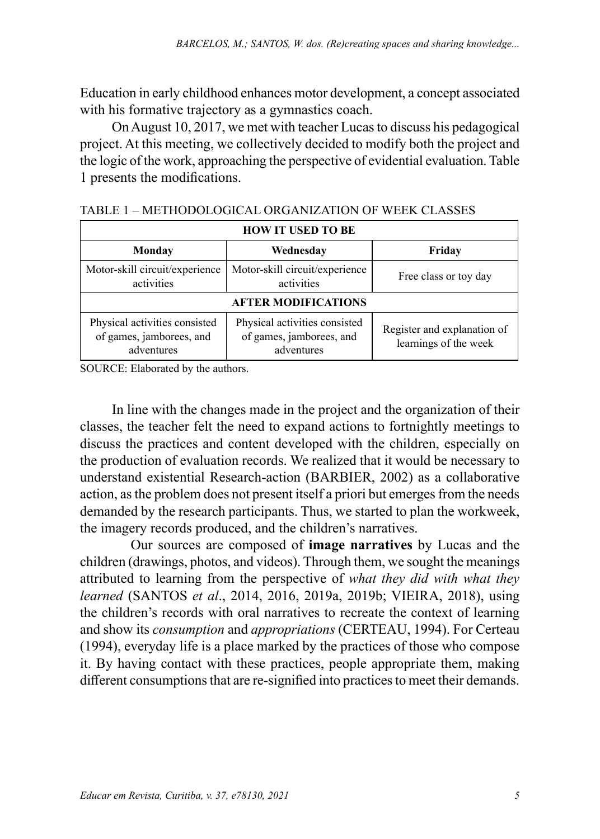Education in early childhood enhances motor development, a concept associated with his formative trajectory as a gymnastics coach.

On August 10, 2017, we met with teacher Lucas to discuss his pedagogical project. At this meeting, we collectively decided to modify both the project and the logic of the work, approaching the perspective of evidential evaluation. Table 1 presents the modifications.

| <b>HOW IT USED TO BE</b>                                                |                                                                         |                                                      |  |  |
|-------------------------------------------------------------------------|-------------------------------------------------------------------------|------------------------------------------------------|--|--|
| Monday                                                                  | Wednesdav                                                               | Friday                                               |  |  |
| Motor-skill circuit/experience<br>activities                            | Motor-skill circuit/experience<br>activities                            | Free class or toy day                                |  |  |
| <b>AFTER MODIFICATIONS</b>                                              |                                                                         |                                                      |  |  |
| Physical activities consisted<br>of games, jamborees, and<br>adventures | Physical activities consisted<br>of games, jamborees, and<br>adventures | Register and explanation of<br>learnings of the week |  |  |

| TABLE 1 – METHODOLOGICAL ORGANIZATION OF WEEK CLASSES |  |  |
|-------------------------------------------------------|--|--|
|-------------------------------------------------------|--|--|

SOURCE: Elaborated by the authors.

In line with the changes made in the project and the organization of their classes, the teacher felt the need to expand actions to fortnightly meetings to discuss the practices and content developed with the children, especially on the production of evaluation records. We realized that it would be necessary to understand existential Research-action (BARBIER, 2002) as a collaborative action, as the problem does not present itself a priori but emerges from the needs demanded by the research participants. Thus, we started to plan the workweek, the imagery records produced, and the children's narratives.

Our sources are composed of **image narratives** by Lucas and the children (drawings, photos, and videos). Through them, we sought the meanings attributed to learning from the perspective of *what they did with what they learned* (SANTOS *et al*., 2014, 2016, 2019a, 2019b; VIEIRA, 2018), using the children's records with oral narratives to recreate the context of learning and show its *consumption* and *appropriations* (CERTEAU, 1994). For Certeau (1994), everyday life is a place marked by the practices of those who compose it. By having contact with these practices, people appropriate them, making different consumptions that are re-signified into practices to meet their demands.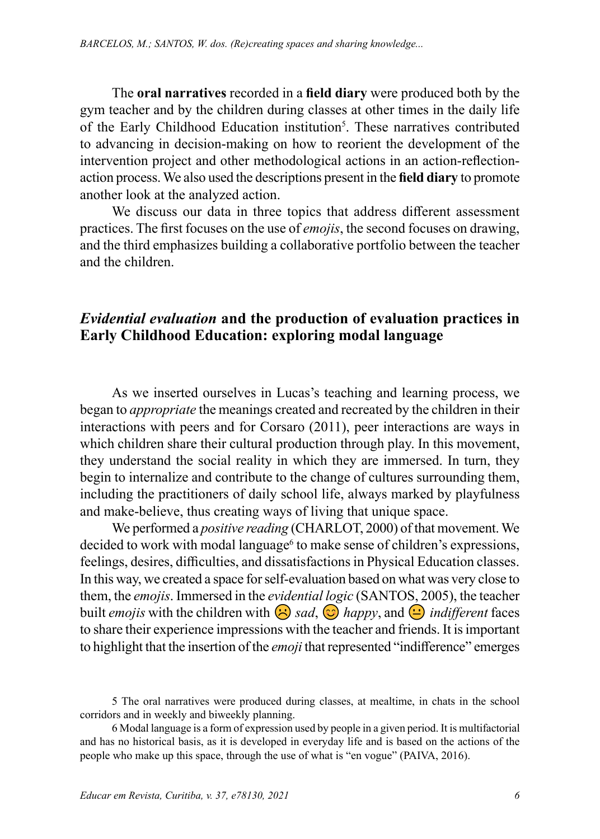The **oral narratives** recorded in a **field diary** were produced both by the gym teacher and by the children during classes at other times in the daily life of the Early Childhood Education institution<sup>5</sup>. These narratives contributed to advancing in decision-making on how to reorient the development of the intervention project and other methodological actions in an action-reflectionaction process. We also used the descriptions present in the field diary to promote another look at the analyzed action.

We discuss our data in three topics that address different assessment practices. The first focuses on the use of *emojis*, the second focuses on drawing, produces. The instructure of the tase of emography, the second recurse of diatoming, and the third emphasizes building a collaborative portfolio between the teacher and the children.

# Evidential evaluation and the production of evaluation practices in Early Childhood Education: exploring modal language

As we inserted ourselves in Lucas's teaching and learning process, we began to *appropriate* the meanings created and recreated by the children in their began to *appropriate* the meanings created and recreated by the children in their<br>interactions with peers and for Corsaro (2011), peer interactions are ways in which children share their cultural production through play. In this movement, they understand the social reality in which they are immersed. In turn, they begin to internalize and contribute to the change of cultures surrounding them, including the practitioners of daily school life, always marked by playfulness and make-believe, thus creating ways of living that unique space.

We performed a *positive reading* (CHARLOT, 2000) of that movement. We decided to work with modal language<sup>6</sup> to make sense of children's expressions, feelings, desires, difficulties, and dissatisfactions in Physical Education classes. In this way, we created a space for self-evaluation based on what was very close to them, the *emojis*. Immersed in the *evidential logic* (SANTOS, 2005), the teacher built *emojis* with the children with  $\bigodot$  sad,  $\bigodot$  happy, and  $\bigodot$  indifferent faces to share their experience impressions with the teacher and friends. It is important to that I am experience impressions with the cattler and memory to the important

<sup>5</sup> The oral narratives were produced during classes, at mealtime, in chats in the school corridors and in weekly and biweekly planning.

<sup>6</sup> Modal language is a form of expression used by people in a given period. It is multifactorial and has no historical basis, as it is developed in everyday life and is based on the actions of the people who make up this space, through the use of what is "en vogue" (PAIVA, 2016).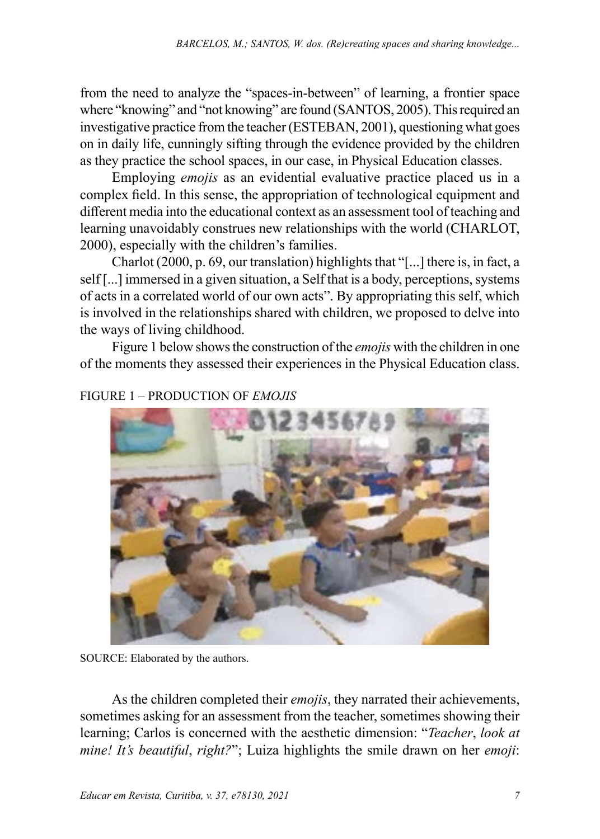from the need to analyze the "spaces-in-between" of learning, a frontier space where "knowing" and "not knowing" are found (SANTOS, 2005). This required an investigative practice from the teacher (ESTEBAN, 2001), questioning what goes on in daily life, cunningly sifting through the evidence provided by the children as they practice the school spaces, in our case, in Physical Education classes.

Employing *emojis* as an evidential evaluative practice placed us in a complex field. In this sense, the appropriation of technological equipment and different media into the educational context as an assessment tool of teaching and learning unavoidably construes new relationships with the world (CHARLOT, 2000), especially with the children's families.

Charlot (2000, p. 69, our translation) highlights that "[...] there is, in fact, a self [...] immersed in a given situation, a Self that is a body, perceptions, systems of acts in a correlated world of our own acts". By appropriating this self, which is involved in the relationships shared with children, we proposed to delve into the ways of living childhood.

Figure 1 below shows the construction of the *emojis* with the children in one of the moments they assessed their experiences in the Physical Education class.



### FIGURE 1 – PRODUCTION OF *EMOJIS*

SOURCE: Elaborated by the authors.

As the children completed their *emojis*, they narrated their achievements, sometimes asking for an assessment from the teacher, sometimes showing their learning; Carlos is concerned with the aesthetic dimension: "*Teacher*, *look at mine! It's beautiful*, *right?*"; Luiza highlights the smile drawn on her *emoji*: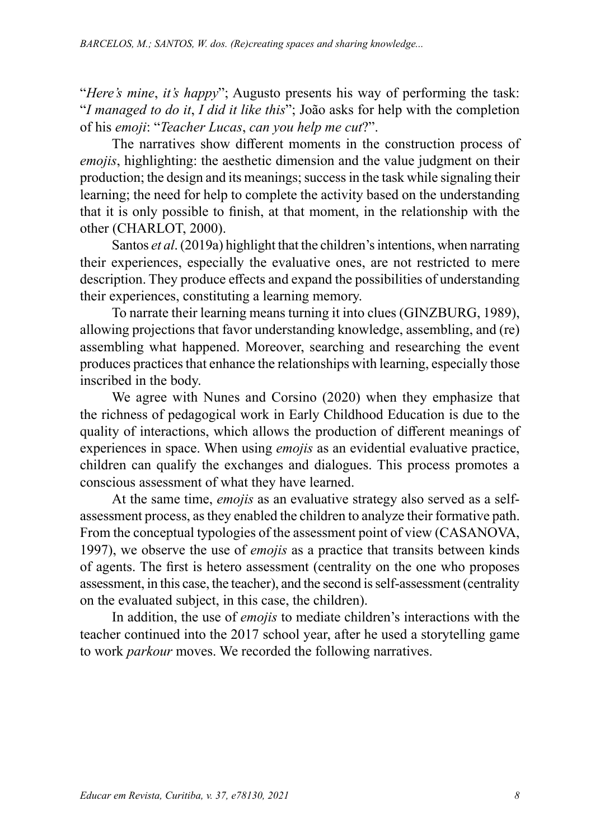"*Here's mine*, *it's happy*"; Augusto presents his way of performing the task: "*I managed to do it*, *I did it like this*"; João asks for help with the completion of his *emoji*: "*Teacher Lucas*, *can you help me cut*?".

The narratives show different moments in the construction process of *emojis*, highlighting: the aesthetic dimension and the value judgment on their production; the design and its meanings; success in the task while signaling their learning; the need for help to complete the activity based on the understanding that it is only possible to finish, at that moment, in the relationship with the other (CHARLOT, 2000).

Santos *et al*. (2019a) highlight that the children's intentions, when narrating their experiences, especially the evaluative ones, are not restricted to mere description. They produce effects and expand the possibilities of understanding their experiences, constituting a learning memory.

To narrate their learning means turning it into clues (GINZBURG, 1989), allowing projections that favor understanding knowledge, assembling, and (re) assembling what happened. Moreover, searching and researching the event produces practices that enhance the relationships with learning, especially those inscribed in the body.

We agree with Nunes and Corsino (2020) when they emphasize that the richness of pedagogical work in Early Childhood Education is due to the quality of interactions, which allows the production of different meanings of experiences in space. When using *emojis* as an evidential evaluative practice, children can qualify the exchanges and dialogues. This process promotes a conscious assessment of what they have learned.

At the same time, *emojis* as an evaluative strategy also served as a selfassessment process, as they enabled the children to analyze their formative path. From the conceptual typologies of the assessment point of view (CASANOVA, 1997), we observe the use of *emojis* as a practice that transits between kinds of agents. The first is hetero assessment (centrality on the one who proposes assessment, in this case, the teacher), and the second is self-assessment (centrality on the evaluated subject, in this case, the children).

In addition, the use of *emojis* to mediate children's interactions with the teacher continued into the 2017 school year, after he used a storytelling game to work *parkour* moves. We recorded the following narratives.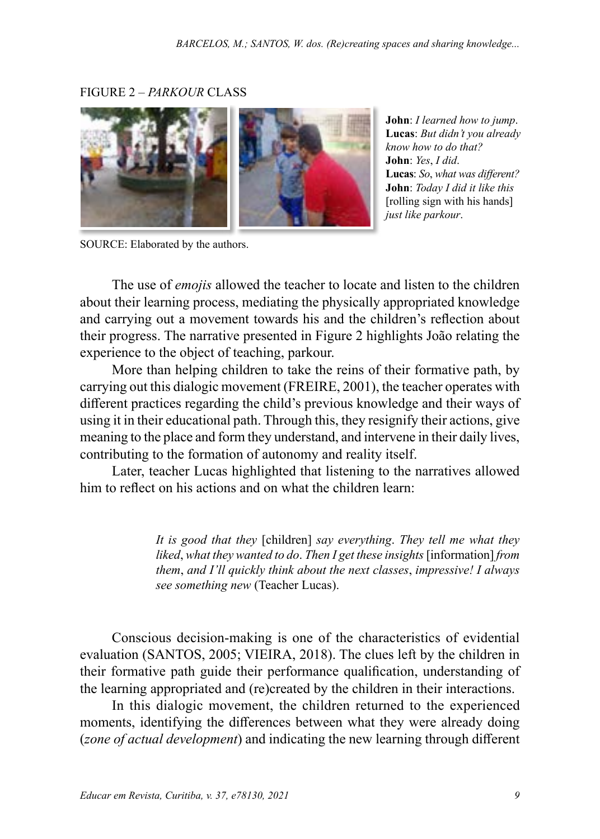#### FIGURE 2 – *PARKOUR* CLASS



**John**: *I learned how to jump*. **Lucas**: *But didn't you already know how to do that?* **John**: *Yes*, *I did*. **Lucas**: *So*, *what was different?* **John**: *Today I did it like this* [rolling sign with his hands] *just like parkour*.

SOURCE: Elaborated by the authors.

The use of *emojis* allowed the teacher to locate and listen to the children about their learning process, mediating the physically appropriated knowledge and carrying out a movement towards his and the children's reflection about their progress. The narrative presented in Figure 2 highlights João relating the experience to the object of teaching, parkour.

More than helping children to take the reins of their formative path, by carrying out this dialogic movement (FREIRE, 2001), the teacher operates with different practices regarding the child's previous knowledge and their ways of using it in their educational path. Through this, they resignify their actions, give meaning to the place and form they understand, and intervene in their daily lives, contributing to the formation of autonomy and reality itself.

Later, teacher Lucas highlighted that listening to the narratives allowed him to reflect on his actions and on what the children learn:

> *It is good that they* [children] *say everything*. *They tell me what they liked*, *what they wanted to do*. *Then I get these insights* [information] *from them*, *and I'll quickly think about the next classes*, *impressive! I always see something new* (Teacher Lucas).

Conscious decision-making is one of the characteristics of evidential evaluation (SANTOS, 2005; VIEIRA, 2018). The clues left by the children in their formative path guide their performance qualification, understanding of the learning appropriated and (re)created by the children in their interactions.

In this dialogic movement, the children returned to the experienced moments, identifying the differences between what they were already doing (*zone of actual development*) and indicating the new learning through different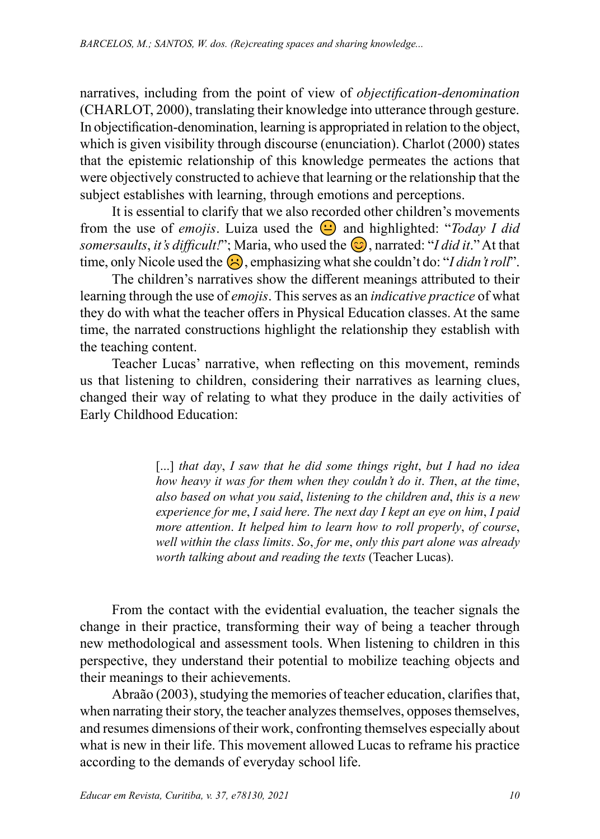narratives, including from the point of view of *objectification-denomination* (CHARLOT, 2000), translating their knowledge into utterance through gesture. In objectification-denomination, learning is appropriated in relation to the object, which is given visibility through discourse (enunciation). Charlot (2000) states that the epistemic relationship of this knowledge permeates the actions that *Formation is a particular constructed to achieve that learning or the relationship that the* were objectively constructed to achieve that learning or the relationship that the *forma*, criamos establishes with learning, through emotions and perceptions. Realizamos uma *leitura positiva* (CHARLOT, 2000) daquele movimento e decidimos

*ex* establishes with tearning, unough emotions and perceptions.<br>It is essential to clarify that we also recorded other children's movements from the use of *emojis*. Luiza used the  $\bigodot$  and highlighted: "Today I did somersaults, it's difficult!"; Maria, who used the  $\bigcirc$ , narrated: "I did it." At that time, only Nicole used the  $\bigotimes$ , emphasizing what she couldn't do: "I didn't roll".

The children's narratives show the different meanings attributed to their learning through the use of *emojis*. This serves as an *indicative practice* of what they do with what the teacher offers in Physical Education classes. At the same time, the narrated constructions highlight the relationship they establish with the set of the fronteira em que set of the fronteiral in the fronteiral in the set of the fronteiral in the set of the fronteiral in the set o the teaching content. necessity do white what the cearter offers in 1 hystear Education classes. At the same<br>between the narrated constructions highlight the relationship they establish with encontra o "saber" e o "não saber" (SANTOS, 2005). Isso demandou do professor uma prática  $\sum_{i=1}^{\infty}$ 

Teacher Lucas' narrative, when reflecting on this movement, reminds us that listening to children, considering their narratives as learning clues, changed their way of relating to what they produce in the daily activities of Early Childhood Education: **Example 2018** 

[...] that day, I saw that he did some things right, but I had no idea *how heavy it was for them when they couldn't do it. Then, at the time, also based on what you said*, *listening to the children and*, *this is a new experience for me*, *I said here*. *The next day I kept an eye on him*, *I paid more attention.* It helped him to learn how to roll properly, of course, well within the class limits. So, for me, only this part alone was already worth talking about and reading the texts (Teacher Lucas). e não guarda lastro histórico, pois é desenvolvida no cotidiano e toma como base as ações das pessoas que reng about una redamg me texts (Pedener Ededs). wen winni me class umus. So, for me, only mis part alone was already

From the contact with the evidential evaluation, the teacher signals the change in their practice, transforming their way of being a teacher through new methodological and assessment tools. When listening to children in this perspective, they understand their potential to mobilize teaching objects and their meanings to their achievements.

Abraão (2003), studying the memories of teacher education, clarifies that, when narrating their story, the teacher analyzes themselves, opposes themselves, and resumes dimensions of their work, confronting themselves especially about what is new in their life. This movement allowed Lucas to reframe his practice according to the demands of everyday school life.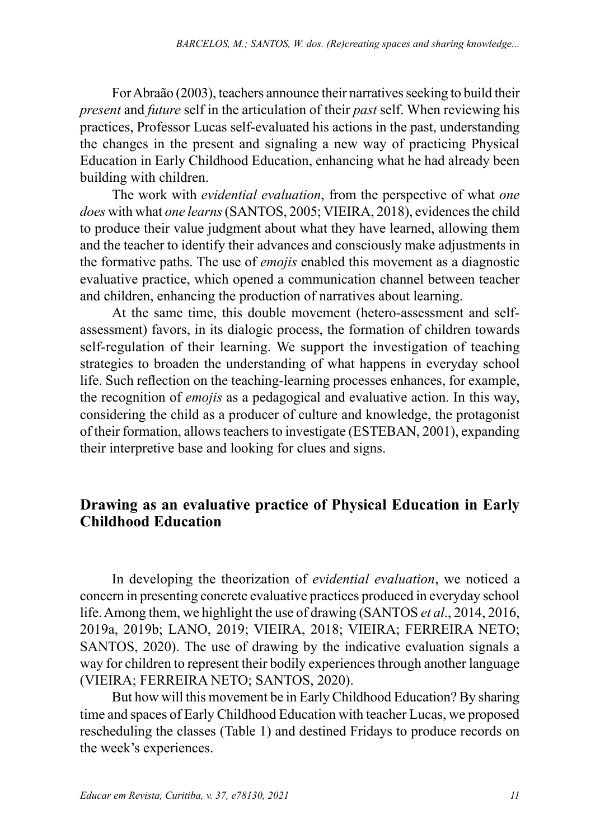For Abraão (2003), teachers announce their narratives seeking to build their *present* and *future* self in the articulation of their *past* self. When reviewing his practices, Professor Lucas self-evaluated his actions in the past, understanding the changes in the present and signaling a new way of practicing Physical Education in Early Childhood Education, enhancing what he had already been building with children.

The work with *evidential evaluation*, from the perspective of what *one does* with what *one learns* (SANTOS, 2005; VIEIRA, 2018), evidences the child to produce their value judgment about what they have learned, allowing them and the teacher to identify their advances and consciously make adjustments in the formative paths. The use of *emojis* enabled this movement as a diagnostic evaluative practice, which opened a communication channel between teacher and children, enhancing the production of narratives about learning.

At the same time, this double movement (hetero-assessment and selfassessment) favors, in its dialogic process, the formation of children towards self-regulation of their learning. We support the investigation of teaching strategies to broaden the understanding of what happens in everyday school life. Such reflection on the teaching-learning processes enhances, for example, the recognition of *emojis* as a pedagogical and evaluative action. In this way, considering the child as a producer of culture and knowledge, the protagonist of their formation, allows teachers to investigate (ESTEBAN, 2001), expanding their interpretive base and looking for clues and signs.

## **Drawing as an evaluative practice of Physical Education in Early Childhood Education**

In developing the theorization of *evidential evaluation*, we noticed a concern in presenting concrete evaluative practices produced in everyday school life. Among them, we highlight the use of drawing (SANTOS *et al*., 2014, 2016, 2019a, 2019b; LANO, 2019; VIEIRA, 2018; VIEIRA; FERREIRA NETO; SANTOS, 2020). The use of drawing by the indicative evaluation signals a way for children to represent their bodily experiences through another language (VIEIRA; FERREIRA NETO; SANTOS, 2020).

But how will this movement be in Early Childhood Education? By sharing time and spaces of Early Childhood Education with teacher Lucas, we proposed rescheduling the classes (Table 1) and destined Fridays to produce records on the week's experiences.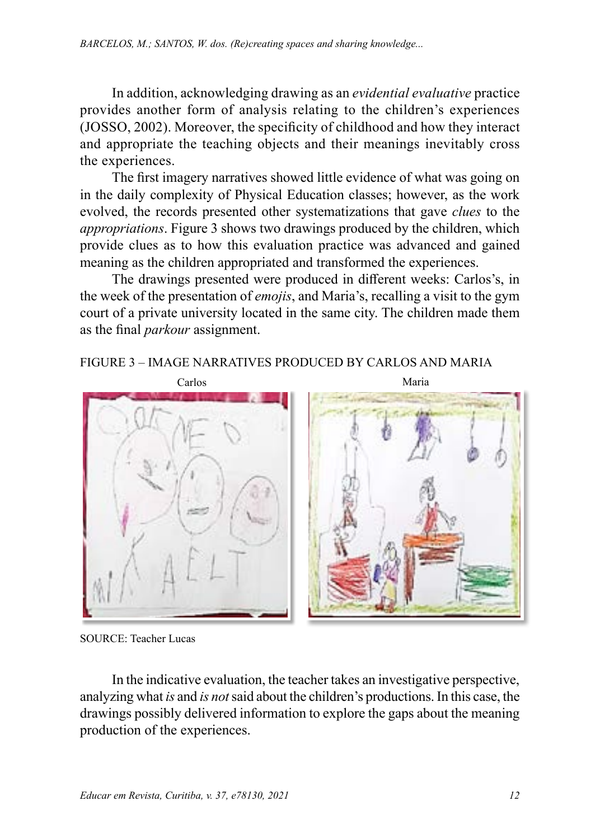In addition, acknowledging drawing as an *evidential evaluative* practice provides another form of analysis relating to the children's experiences (JOSSO, 2002). Moreover, the specificity of childhood and how they interact and appropriate the teaching objects and their meanings inevitably cross the experiences.

The first imagery narratives showed little evidence of what was going on in the daily complexity of Physical Education classes; however, as the work evolved, the records presented other systematizations that gave *clues* to the *appropriations*. Figure 3 shows two drawings produced by the children, which provide clues as to how this evaluation practice was advanced and gained meaning as the children appropriated and transformed the experiences.

The drawings presented were produced in different weeks: Carlos's, in the week of the presentation of *emojis*, and Maria's, recalling a visit to the gym court of a private university located in the same city. The children made them as the final *parkour* assignment.

#### FIGURE 3 – IMAGE NARRATIVES PRODUCED BY CARLOS AND MARIA



SOURCE: Teacher Lucas

In the indicative evaluation, the teacher takes an investigative perspective, analyzing what *is* and *is not* said about the children's productions. In this case, the drawings possibly delivered information to explore the gaps about the meaning production of the experiences.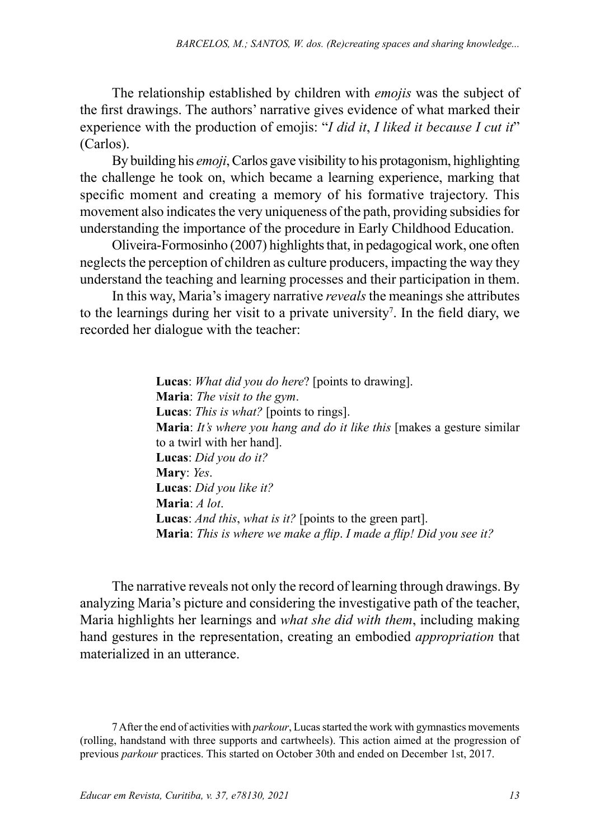The relationship established by children with *emojis* was the subject of the first drawings. The authors' narrative gives evidence of what marked their experience with the production of emojis: "*I did it*, *I liked it because I cut it*" (Carlos).

By building his *emoji*, Carlos gave visibility to his protagonism, highlighting the challenge he took on, which became a learning experience, marking that specific moment and creating a memory of his formative trajectory. This movement also indicates the very uniqueness of the path, providing subsidies for understanding the importance of the procedure in Early Childhood Education.

Oliveira-Formosinho (2007) highlights that, in pedagogical work, one often neglects the perception of children as culture producers, impacting the way they understand the teaching and learning processes and their participation in them.

In this way, Maria's imagery narrative *reveals* the meanings she attributes to the learnings during her visit to a private university<sup>7</sup>. In the field diary, we recorded her dialogue with the teacher:

> **Lucas**: *What did you do here*? [points to drawing]. **Maria**: *The visit to the gym*. **Lucas**: *This is what?* [points to rings]. **Maria**: *It's where you hang and do it like this* [makes a gesture similar to a twirl with her hand]. **Lucas**: *Did you do it?* **Mary**: *Yes*. **Lucas**: *Did you like it?* **Maria**: *A lot*. **Lucas**: *And this*, *what is it?* [points to the green part]. **Maria**: *This is where we make a flip*. *I made a flip! Did you see it?*

The narrative reveals not only the record of learning through drawings. By analyzing Maria's picture and considering the investigative path of the teacher, Maria highlights her learnings and *what she did with them*, including making hand gestures in the representation, creating an embodied *appropriation* that materialized in an utterance.

7 After the end of activities with *parkour*, Lucas started the work with gymnastics movements (rolling, handstand with three supports and cartwheels). This action aimed at the progression of previous *parkour* practices. This started on October 30th and ended on December 1st, 2017.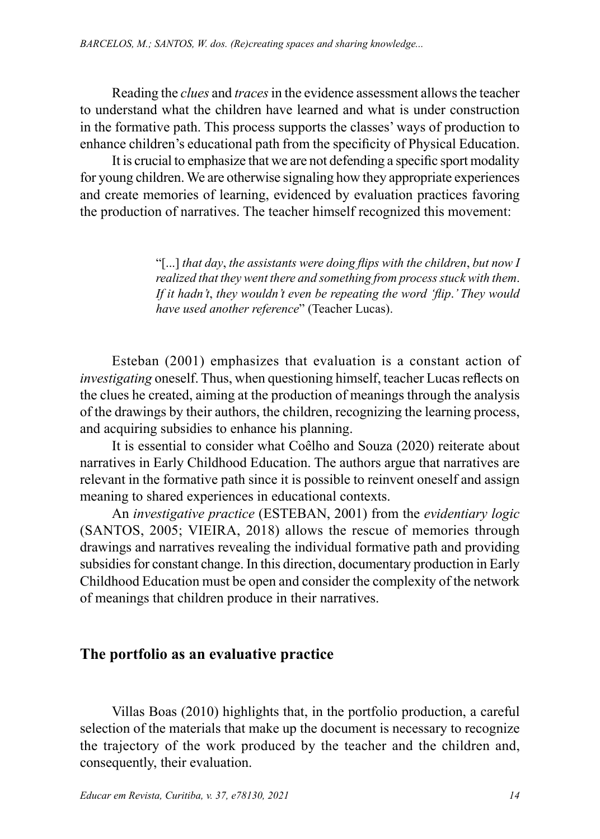Reading the *clues* and *traces* in the evidence assessment allows the teacher to understand what the children have learned and what is under construction in the formative path. This process supports the classes' ways of production to enhance children's educational path from the specificity of Physical Education.

It is crucial to emphasize that we are not defending a specific sport modality for young children. We are otherwise signaling how they appropriate experiences and create memories of learning, evidenced by evaluation practices favoring the production of narratives. The teacher himself recognized this movement:

> "[...] *that day*, *the assistants were doing flips with the children*, *but now I realized that they went there and something from process stuck with them*. *If it hadn't*, *they wouldn't even be repeating the word 'flip*.*' They would have used another reference*" (Teacher Lucas).

Esteban (2001) emphasizes that evaluation is a constant action of *investigating* oneself. Thus, when questioning himself, teacher Lucas reflects on the clues he created, aiming at the production of meanings through the analysis of the drawings by their authors, the children, recognizing the learning process, and acquiring subsidies to enhance his planning.

It is essential to consider what Coêlho and Souza (2020) reiterate about narratives in Early Childhood Education. The authors argue that narratives are relevant in the formative path since it is possible to reinvent oneself and assign meaning to shared experiences in educational contexts.

An *investigative practice* (ESTEBAN, 2001) from the *evidentiary logic* (SANTOS, 2005; VIEIRA, 2018) allows the rescue of memories through drawings and narratives revealing the individual formative path and providing subsidies for constant change. In this direction, documentary production in Early Childhood Education must be open and consider the complexity of the network of meanings that children produce in their narratives.

### **The portfolio as an evaluative practice**

Villas Boas (2010) highlights that, in the portfolio production, a careful selection of the materials that make up the document is necessary to recognize the trajectory of the work produced by the teacher and the children and, consequently, their evaluation.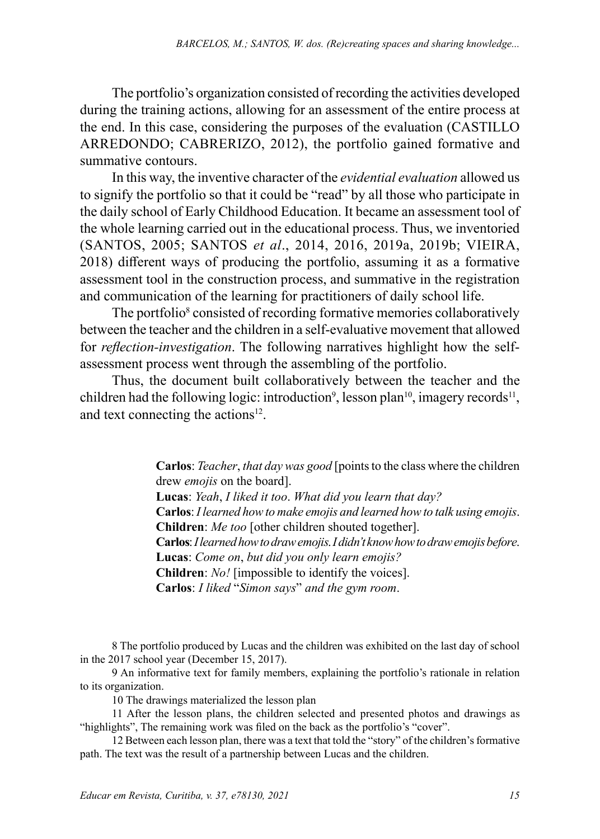The portfolio's organization consisted of recording the activities developed during the training actions, allowing for an assessment of the entire process at the end. In this case, considering the purposes of the evaluation (CASTILLO ARREDONDO; CABRERIZO, 2012), the portfolio gained formative and summative contours.

In this way, the inventive character of the *evidential evaluation* allowed us to signify the portfolio so that it could be "read" by all those who participate in the daily school of Early Childhood Education. It became an assessment tool of the whole learning carried out in the educational process. Thus, we inventoried (SANTOS, 2005; SANTOS *et al*., 2014, 2016, 2019a, 2019b; VIEIRA, 2018) different ways of producing the portfolio, assuming it as a formative assessment tool in the construction process, and summative in the registration and communication of the learning for practitioners of daily school life.

The portfolio<sup>8</sup> consisted of recording formative memories collaboratively between the teacher and the children in a self-evaluative movement that allowed for *reflection-investigation*. The following narratives highlight how the selfassessment process went through the assembling of the portfolio.

Thus, the document built collaboratively between the teacher and the children had the following logic: introduction<sup>9</sup>, lesson plan<sup>10</sup>, imagery records<sup>11</sup>, and text connecting the actions<sup>12</sup>.

> **Carlos**: *Teacher*, *that day was good* [points to the class where the children drew *emojis* on the board].

> **Lucas**: *Yeah*, *I liked it too*. *What did you learn that day?* **Carlos**: *I learned how to make emojis and learned how to talk using emojis*. **Children**: *Me too* [other children shouted together]. **Carlos**: *I learned how to draw emojis*. *I didn't know how to draw emojis before*. **Lucas**: *Come on*, *but did you only learn emojis?*

**Children**: *No!* [impossible to identify the voices].

**Carlos**: *I liked* "*Simon says*" *and the gym room*.

8 The portfolio produced by Lucas and the children was exhibited on the last day of school in the 2017 school year (December 15, 2017).

9 An informative text for family members, explaining the portfolio's rationale in relation to its organization.

10 The drawings materialized the lesson plan

11 After the lesson plans, the children selected and presented photos and drawings as "highlights", The remaining work was filed on the back as the portfolio's "cover".

12 Between each lesson plan, there was a text that told the "story" of the children's formative path. The text was the result of a partnership between Lucas and the children.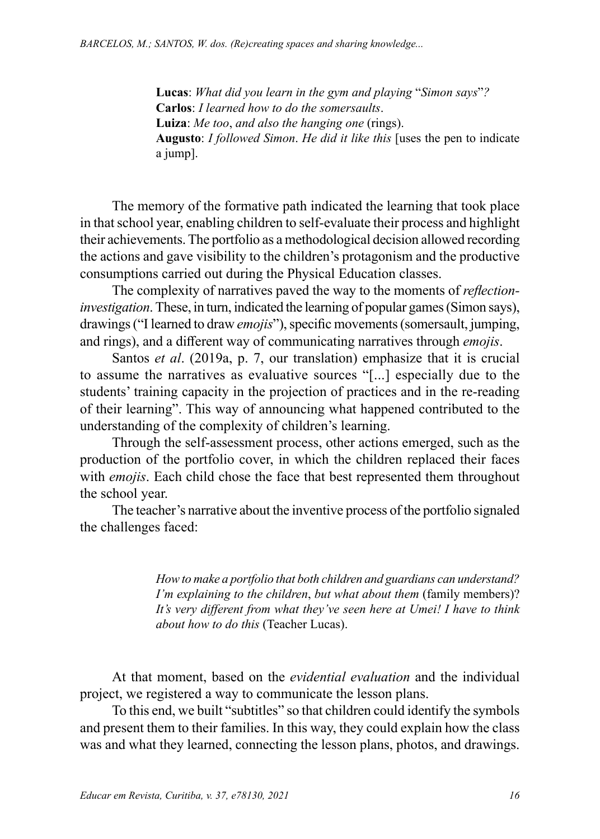**Lucas**: *What did you learn in the gym and playing* "*Simon says*"*?* **Carlos**: *I learned how to do the somersaults*. **Luiza**: *Me too*, *and also the hanging one* (rings). **Augusto**: *I followed Simon*. *He did it like this* [uses the pen to indicate a jump].

The memory of the formative path indicated the learning that took place in that school year, enabling children to self-evaluate their process and highlight their achievements. The portfolio as a methodological decision allowed recording the actions and gave visibility to the children's protagonism and the productive consumptions carried out during the Physical Education classes.

The complexity of narratives paved the way to the moments of *reflectioninvestigation*.These, in turn, indicated the learning of popular games (Simon says), drawings ("I learned to draw *emojis*"), specific movements (somersault, jumping, and rings), and a different way of communicating narratives through *emojis*.

Santos *et al*. (2019a, p. 7, our translation) emphasize that it is crucial to assume the narratives as evaluative sources "[...] especially due to the students' training capacity in the projection of practices and in the re-reading of their learning". This way of announcing what happened contributed to the understanding of the complexity of children's learning.

Through the self-assessment process, other actions emerged, such as the production of the portfolio cover, in which the children replaced their faces with *emojis*. Each child chose the face that best represented them throughout the school year.

The teacher's narrative about the inventive process of the portfolio signaled the challenges faced:

> *How to make a portfolio that both children and guardians can understand? I'm explaining to the children*, *but what about them* (family members)? *It's very different from what they've seen here at Umei! I have to think about how to do this* (Teacher Lucas).

At that moment, based on the *evidential evaluation* and the individual project, we registered a way to communicate the lesson plans.

To this end, we built "subtitles" so that children could identify the symbols and present them to their families. In this way, they could explain how the class was and what they learned, connecting the lesson plans, photos, and drawings.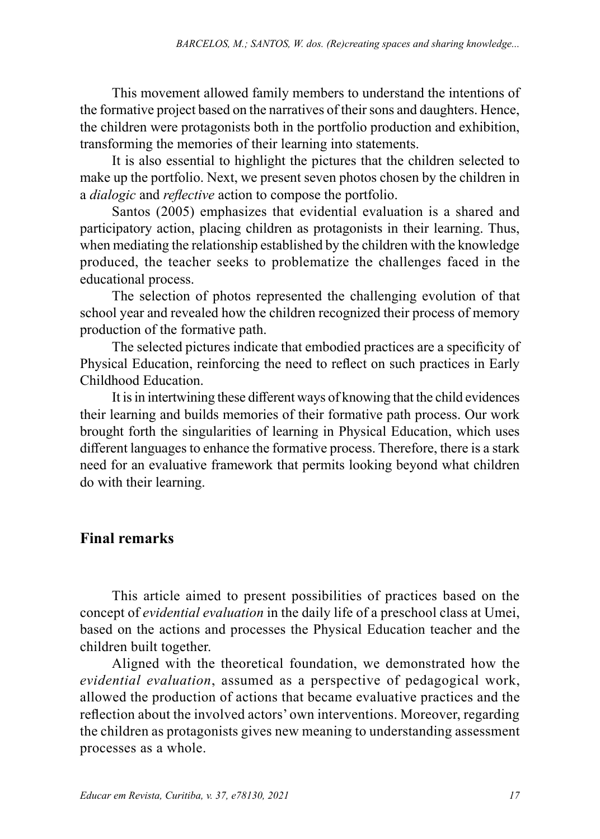This movement allowed family members to understand the intentions of the formative project based on the narratives of their sons and daughters. Hence, the children were protagonists both in the portfolio production and exhibition, transforming the memories of their learning into statements.

It is also essential to highlight the pictures that the children selected to make up the portfolio. Next, we present seven photos chosen by the children in a *dialogic* and *reflective* action to compose the portfolio.

Santos (2005) emphasizes that evidential evaluation is a shared and participatory action, placing children as protagonists in their learning. Thus, when mediating the relationship established by the children with the knowledge produced, the teacher seeks to problematize the challenges faced in the educational process.

The selection of photos represented the challenging evolution of that school year and revealed how the children recognized their process of memory production of the formative path.

The selected pictures indicate that embodied practices are a specificity of Physical Education, reinforcing the need to reflect on such practices in Early Childhood Education.

It is in intertwining these different ways of knowing that the child evidences their learning and builds memories of their formative path process. Our work brought forth the singularities of learning in Physical Education, which uses different languages to enhance the formative process. Therefore, there is a stark need for an evaluative framework that permits looking beyond what children do with their learning.

# **Final remarks**

This article aimed to present possibilities of practices based on the concept of *evidential evaluation* in the daily life of a preschool class at Umei, based on the actions and processes the Physical Education teacher and the children built together.

Aligned with the theoretical foundation, we demonstrated how the *evidential evaluation*, assumed as a perspective of pedagogical work, allowed the production of actions that became evaluative practices and the reflection about the involved actors' own interventions. Moreover, regarding the children as protagonists gives new meaning to understanding assessment processes as a whole.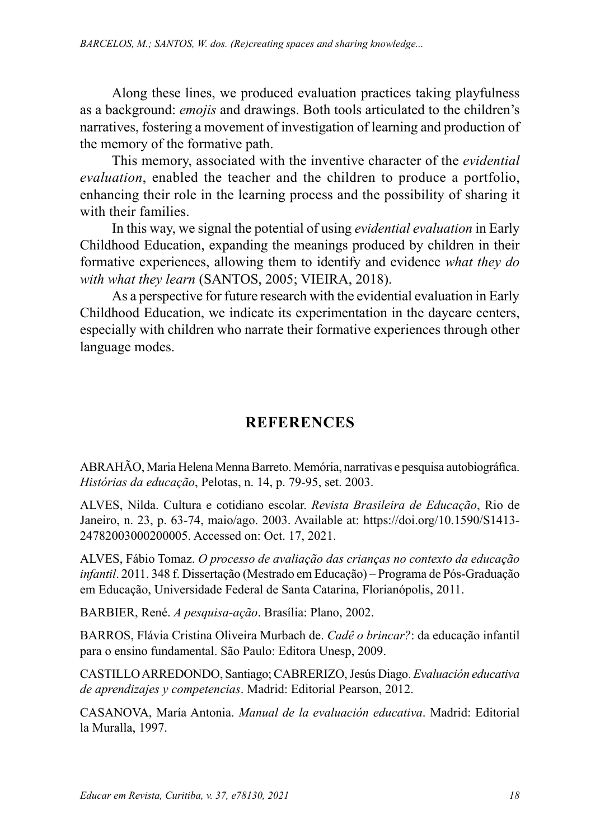Along these lines, we produced evaluation practices taking playfulness as a background: *emojis* and drawings. Both tools articulated to the children's narratives, fostering a movement of investigation of learning and production of the memory of the formative path.

This memory, associated with the inventive character of the *evidential evaluation*, enabled the teacher and the children to produce a portfolio, enhancing their role in the learning process and the possibility of sharing it with their families.

In this way, we signal the potential of using *evidential evaluation* in Early Childhood Education, expanding the meanings produced by children in their formative experiences, allowing them to identify and evidence *what they do with what they learn* (SANTOS, 2005; VIEIRA, 2018).

As a perspective for future research with the evidential evaluation in Early Childhood Education, we indicate its experimentation in the daycare centers, especially with children who narrate their formative experiences through other language modes.

# **REFERENCES**

ABRAHÃO, Maria Helena Menna Barreto. Memória, narrativas e pesquisa autobiográfica. *Histórias da educação*, Pelotas, n. 14, p. 79-95, set. 2003.

ALVES, Nilda. Cultura e cotidiano escolar. *Revista Brasileira de Educação*, Rio de Janeiro, n. 23, p. 63-74, maio/ago. 2003. Available at: [https://doi.org/10.1590/S1413-](https://doi.org/10.1590/S1413-24782003000200005) [24782003000200005](https://doi.org/10.1590/S1413-24782003000200005). Accessed on: Oct. 17, 2021.

ALVES, Fábio Tomaz. *O processo de avaliação das crianças no contexto da educação infantil*. 2011. 348 f. Dissertação (Mestrado em Educação) – Programa de Pós-Graduação em Educação, Universidade Federal de Santa Catarina, Florianópolis, 2011.

BARBIER, René. *A pesquisa-ação*. Brasília: Plano, 2002.

BARROS, Flávia Cristina Oliveira Murbach de. *Cadê o brincar?*: da educação infantil para o ensino fundamental. São Paulo: Editora Unesp, 2009.

CASTILLO ARREDONDO, Santiago; CABRERIZO, Jesús Diago. *Evaluación educativa de aprendizajes y competencias*. Madrid: Editorial Pearson, 2012.

CASANOVA, María Antonia. *Manual de la evaluación educativa*. Madrid: Editorial la Muralla, 1997.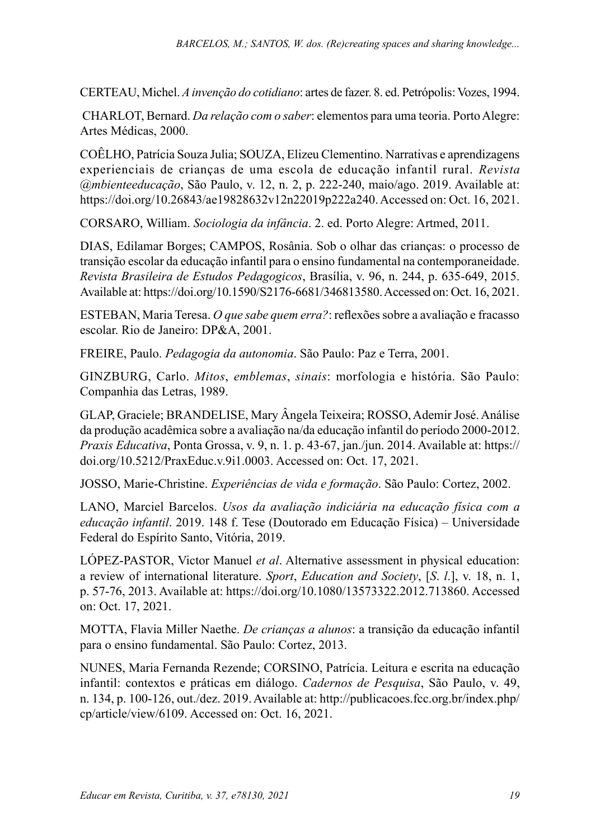CERTEAU, Michel. *A invenção do cotidiano*: artes de fazer. 8. ed. Petrópolis: Vozes, 1994.

 CHARLOT, Bernard. *Da relação com o saber*: elementos para uma teoria. Porto Alegre: Artes Médicas, 2000.

COÊLHO, Patrícia Souza Julia; SOUZA, Elizeu Clementino. Narrativas e aprendizagens experienciais de crianças de uma escola de educação infantil rural. *Revista @mbienteeducação*, São Paulo, v. 12, n. 2, p. 222-240, maio/ago. 2019. Available at: <https://doi.org/10.26843/ae19828632v12n22019p222a240>. Accessed on: Oct. 16, 2021.

CORSARO, William. *Sociologia da infância*. 2. ed. Porto Alegre: Artmed, 2011.

DIAS, Edilamar Borges; CAMPOS, Rosânia. Sob o olhar das crianças: o processo de transição escolar da educação infantil para o ensino fundamental na contemporaneidade. *Revista Brasileira de Estudos Pedagogicos*, Brasília, v. 96, n. 244, p. 635-649, 2015. Available at: [https://doi.org/10.1590/S2176-6681/346813580.](https://doi.org/10.1590/S2176-6681/346813580) Accessed on: Oct. 16, 2021.

ESTEBAN, Maria Teresa. *O que sabe quem erra?*: reflexões sobre a avaliação e fracasso escolar. Rio de Janeiro: DP&A, 2001.

FREIRE, Paulo. *Pedagogia da autonomia*. São Paulo: Paz e Terra, 2001.

GINZBURG, Carlo. *Mitos*, *emblemas*, *sinais*: morfologia e história. São Paulo: Companhia das Letras, 1989.

GLAP, Graciele; BRANDELISE, Mary Ângela Teixeira; ROSSO, Ademir José. Análise da produção acadêmica sobre a avaliação na/da educação infantil do período 2000-2012. *Praxis Educativa*, Ponta Grossa, v. 9, n. 1. p. 43-67, jan./jun. 2014. Available at: [https://](https://doi.org/10.5212/PraxEduc.v.9i1.0003) [doi.org/10.5212/PraxEduc.v.9i1.0003.](https://doi.org/10.5212/PraxEduc.v.9i1.0003) Accessed on: Oct. 17, 2021.

JOSSO, Marie-Christine. *Experiências de vida e formação*. São Paulo: Cortez, 2002.

LANO, Marciel Barcelos. *Usos da avaliação indiciária na educação física com a educação infantil*. 2019. 148 f. Tese (Doutorado em Educação Física) – Universidade Federal do Espírito Santo, Vitória, 2019.

LÓPEZ-PASTOR, Victor Manuel *et al*. Alternative assessment in physical education: a review of international literature. *Sport*, *Education and Society*, [*S*. *l*.], v. 18, n. 1, p. 57-76, 2013. Available at: [https://doi.org/10.1080/13573322.2012.713860.](https://doi.org/10.1080/13573322.2012.713860) Accessed on: Oct. 17, 2021.

MOTTA, Flavia Miller Naethe. *De crianças a alunos*: a transição da educação infantil para o ensino fundamental. São Paulo: Cortez, 2013.

NUNES, Maria Fernanda Rezende; CORSINO, Patrícia. Leitura e escrita na educação infantil: contextos e práticas em diálogo. *Cadernos de Pesquisa*, São Paulo, v. 49, n. 134, p. 100-126, out./dez. 2019. Available at: [http://publicacoes.fcc.org.br/index.php/](http://publicacoes.fcc.org.br/index.php/cp/article/view/6109) [cp/article/view/6109.](http://publicacoes.fcc.org.br/index.php/cp/article/view/6109) Accessed on: Oct. 16, 2021.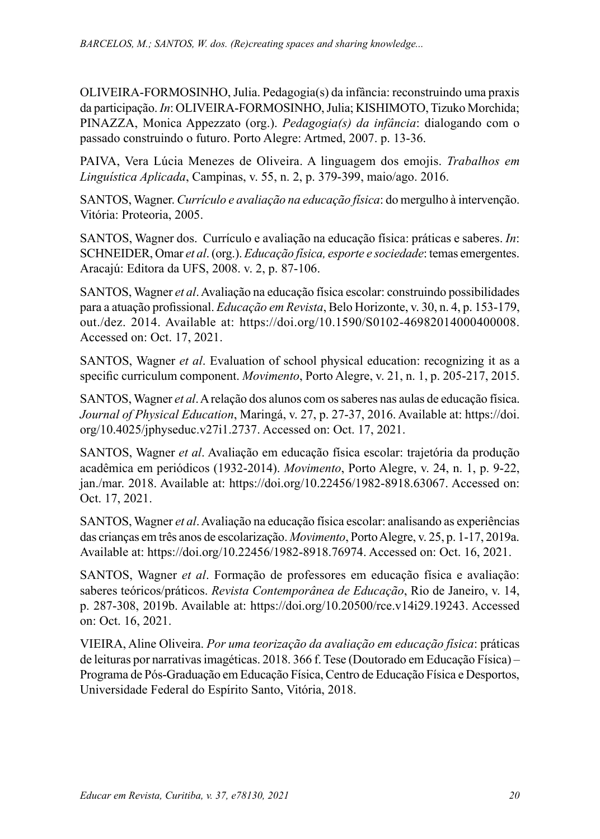OLIVEIRA-FORMOSINHO, Julia. Pedagogia(s) da infância: reconstruindo uma praxis da participação. *In*: OLIVEIRA-FORMOSINHO, Julia; KISHIMOTO, Tizuko Morchida; PINAZZA, Monica Appezzato (org.). *Pedagogia(s) da infância*: dialogando com o passado construindo o futuro. Porto Alegre: Artmed, 2007. p. 13-36.

PAIVA, Vera Lúcia Menezes de Oliveira. A linguagem dos emojis. *Trabalhos em Linguística Aplicada*, Campinas, v. 55, n. 2, p. 379-399, maio/ago. 2016.

SANTOS, Wagner. *Currículo e avaliação na educação física*: do mergulho à intervenção. Vitória: Proteoria, 2005.

SANTOS, Wagner dos. Currículo e avaliação na educação física: práticas e saberes. *In*: SCHNEIDER, Omar *et al*. (org.). *Educação física, esporte e sociedade*: temas emergentes. Aracajú: Editora da UFS, 2008. v. 2, p. 87-106.

SANTOS, Wagner *et al*. Avaliação na educação física escolar: construindo possibilidades para a atuação profissional. *Educação em Revista*, Belo Horizonte, v. 30, n. 4, p. 153-179, out./dez. 2014. Available at: <https://doi.org/10.1590/S0102-46982014000400008>. Accessed on: Oct. 17, 2021.

SANTOS, Wagner *et al*. Evaluation of school physical education: recognizing it as a specific curriculum component. *Movimento*, Porto Alegre, v. 21, n. 1, p. 205-217, 2015.

SANTOS, Wagner *et al*. A relação dos alunos com os saberes nas aulas de educação física. *Journal of Physical Education*, Maringá, v. 27, p. 27-37, 2016. Available at: https://doi. org/10.4025/jphyseduc.v27i1.2737. Accessed on: Oct. 17, 2021.

SANTOS, Wagner *et al*. Avaliação em educação física escolar: trajetória da produção acadêmica em periódicos (1932-2014). *Movimento*, Porto Alegre, v. 24, n. 1, p. 9-22, jan./mar. 2018. Available at: [https://doi.org/10.22456/1982-8918.63067.](https://doi.org/10.22456/1982-8918.63067) Accessed on: Oct. 17, 2021.

SANTOS, Wagner *et al*. Avaliação na educação física escolar: analisando as experiências das crianças em três anos de escolarização. *Movimento*, Porto Alegre, v. 25, p. 1-17, 2019a. Available at: https://doi.org/10.22456/1982-8918.76974. Accessed on: Oct. 16, 2021.

SANTOS, Wagner *et al*. Formação de professores em educação física e avaliação: saberes teóricos/práticos. *Revista Contemporânea de Educação*, Rio de Janeiro, v. 14, p. 287-308, 2019b. Available at: [https://doi.org/10.20500/rce.v14i29.19243.](https://doi.org/10.20500/rce.v14i29.19243) Accessed on: Oct. 16, 2021.

VIEIRA, Aline Oliveira. *Por uma teorização da avaliação em educação física*: práticas de leituras por narrativas imagéticas. 2018. 366 f. Tese (Doutorado em Educação Física) – Programa de Pós-Graduação em Educação Física, Centro de Educação Física e Desportos, Universidade Federal do Espírito Santo, Vitória, 2018.